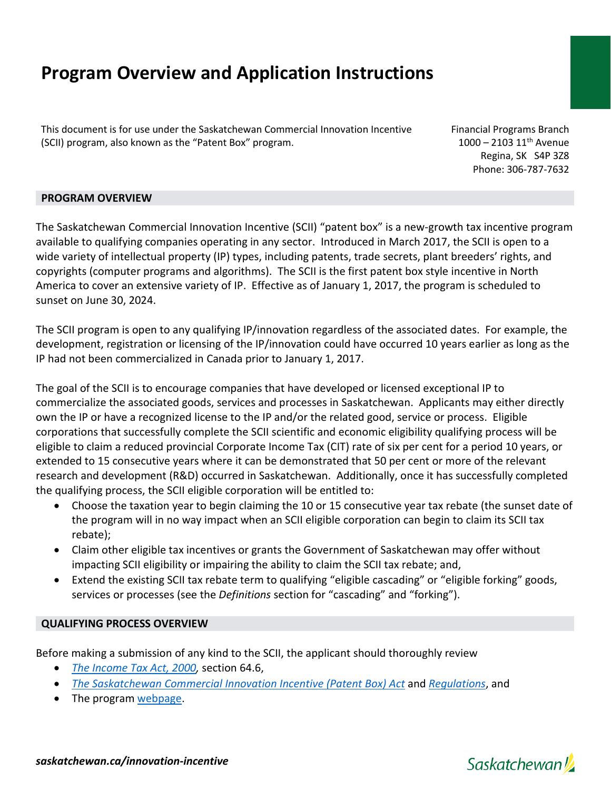# **Program Overview and Application Instructions**

This document is for use under the Saskatchewan Commercial Innovation Incentive (SCII) program, also known as the "Patent Box" program.

Financial Programs Branch  $1000 - 2103$   $11^{th}$  Avenue Regina, SK S4P 3Z8 Phone: 306-787-7632

#### **PROGRAM OVERVIEW**

The Saskatchewan Commercial Innovation Incentive (SCII) "patent box" is a new-growth tax incentive program available to qualifying companies operating in any sector. Introduced in March 2017, the SCII is open to a wide variety of intellectual property (IP) types, including patents, trade secrets, plant breeders' rights, and copyrights (computer programs and algorithms). The SCII is the first patent box style incentive in North America to cover an extensive variety of IP. Effective as of January 1, 2017, the program is scheduled to sunset on June 30, 2024.

The SCII program is open to any qualifying IP/innovation regardless of the associated dates. For example, the development, registration or licensing of the IP/innovation could have occurred 10 years earlier as long as the IP had not been commercialized in Canada prior to January 1, 2017.

The goal of the SCII is to encourage companies that have developed or licensed exceptional IP to commercialize the associated goods, services and processes in Saskatchewan. Applicants may either directly own the IP or have a recognized license to the IP and/or the related good, service or process. Eligible corporations that successfully complete the SCII scientific and economic eligibility qualifying process will be eligible to claim a reduced provincial Corporate Income Tax (CIT) rate of six per cent for a period 10 years, or extended to 15 consecutive years where it can be demonstrated that 50 per cent or more of the relevant research and development (R&D) occurred in Saskatchewan. Additionally, once it has successfully completed the qualifying process, the SCII eligible corporation will be entitled to:

- Choose the taxation year to begin claiming the 10 or 15 consecutive year tax rebate (the sunset date of the program will in no way impact when an SCII eligible corporation can begin to claim its SCII tax rebate);
- Claim other eligible tax incentives or grants the Government of Saskatchewan may offer without impacting SCII eligibility or impairing the ability to claim the SCII tax rebate; and,
- Extend the existing SCII tax rebate term to qualifying "eligible cascading" or "eligible forking" goods, services or processes (see the *Definitions* section for "cascading" and "forking").

#### **QUALIFYING PROCESS OVERVIEW**

Before making a submission of any kind to the SCII, the applicant should thoroughly review

- *[The Income Tax Act, 2000,](http://publications.saskatchewan.ca/api/v1/products/583/formats/806/download)* section 64.6,
- *[The Saskatchewan Commercial Innovation Incentive \(Patent Box\) Act](http://publications.saskatchewan.ca/api/v1/products/86394/formats/100013/download)* and *[Regulations](http://publications.saskatchewan.ca/api/v1/products/86396/formats/100022/download)*, and
- The program [webpage.](https://www.saskatchewan.ca/business/investment-and-economic-development/business-incentives-and-tax-credits/saskatchewan-commercial-innovation-incentive)

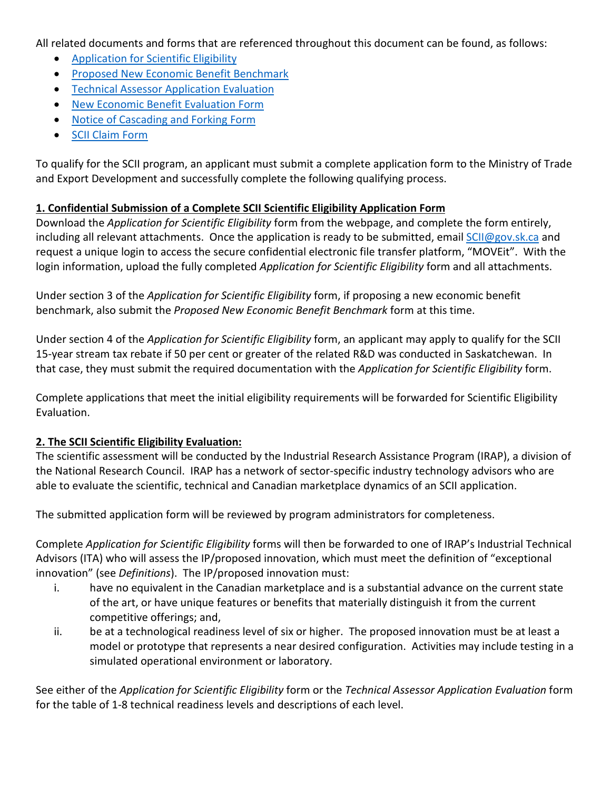All related documents and forms that are referenced throughout this document can be found, as follows:

- [Application for Scientific Eligibility](http://publications.saskatchewan.ca/api/v1/products/86371/formats/99977/download)
- [Proposed New Economic Benefit Benchmark](http://publications.saskatchewan.ca/api/v1/products/86380/formats/99989/download)
- [Technical Assessor Application Evaluation](http://publications.saskatchewan.ca/api/v1/products/86381/formats/99990/download)
- [New Economic Benefit Evaluation Form](http://publications.saskatchewan.ca/api/v1/products/86378/formats/99987/download)
- [Notice of Cascading and Forking Form](http://publications.saskatchewan.ca/api/v1/products/86379/formats/99988/download)
- [SCII Claim Form](http://publications.saskatchewan.ca/api/v1/products/101414/formats/112091/download)

To qualify for the SCII program, an applicant must submit a complete application form to the Ministry of Trade and Export Development and successfully complete the following qualifying process.

### **1. Confidential Submission of a Complete SCII Scientific Eligibility Application Form**

Download the *Application for Scientific Eligibility* form from the webpage, and complete the form entirely, including all relevant attachments. Once the application is ready to be submitted, email [SCII@gov.sk.ca](mailto:SCII@gov.sk.ca) and request a unique login to access the secure confidential electronic file transfer platform, "MOVEit". With the login information, upload the fully completed *Application for Scientific Eligibility* form and all attachments.

Under section 3 of the *Application for Scientific Eligibility* form, if proposing a new economic benefit benchmark, also submit the *Proposed New Economic Benefit Benchmark* form at this time.

Under section 4 of the *Application for Scientific Eligibility* form, an applicant may apply to qualify for the SCII 15-year stream tax rebate if 50 per cent or greater of the related R&D was conducted in Saskatchewan. In that case, they must submit the required documentation with the *Application for Scientific Eligibility* form.

Complete applications that meet the initial eligibility requirements will be forwarded for Scientific Eligibility Evaluation.

## **2. The SCII Scientific Eligibility Evaluation:**

The scientific assessment will be conducted by the Industrial Research Assistance Program (IRAP), a division of the National Research Council. IRAP has a network of sector-specific industry technology advisors who are able to evaluate the scientific, technical and Canadian marketplace dynamics of an SCII application.

The submitted application form will be reviewed by program administrators for completeness.

Complete *Application for Scientific Eligibility* forms will then be forwarded to one of IRAP's Industrial Technical Advisors (ITA) who will assess the IP/proposed innovation, which must meet the definition of "exceptional innovation" (see *Definitions*). The IP/proposed innovation must:

- i. have no equivalent in the Canadian marketplace and is a substantial advance on the current state of the art, or have unique features or benefits that materially distinguish it from the current competitive offerings; and,
- ii. be at a technological readiness level of six or higher. The proposed innovation must be at least a model or prototype that represents a near desired configuration. Activities may include testing in a simulated operational environment or laboratory.

See either of the *Application for Scientific Eligibility* form or the *Technical Assessor Application Evaluation* form for the table of 1-8 technical readiness levels and descriptions of each level.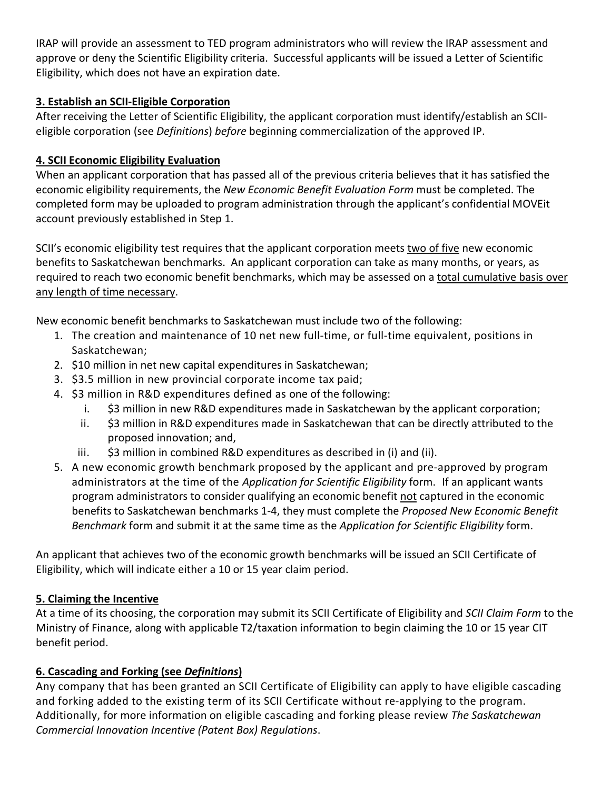IRAP will provide an assessment to TED program administrators who will review the IRAP assessment and approve or deny the Scientific Eligibility criteria. Successful applicants will be issued a Letter of Scientific Eligibility, which does not have an expiration date.

## **3. Establish an SCII-Eligible Corporation**

After receiving the Letter of Scientific Eligibility, the applicant corporation must identify/establish an SCIIeligible corporation (see *Definitions*) *before* beginning commercialization of the approved IP.

## **4. SCII Economic Eligibility Evaluation**

When an applicant corporation that has passed all of the previous criteria believes that it has satisfied the economic eligibility requirements, the *New Economic Benefit Evaluation Form* must be completed. The completed form may be uploaded to program administration through the applicant's confidential MOVEit account previously established in Step 1.

SCII's economic eligibility test requires that the applicant corporation meets two of five new economic benefits to Saskatchewan benchmarks. An applicant corporation can take as many months, or years, as required to reach two economic benefit benchmarks, which may be assessed on a total cumulative basis over any length of time necessary.

New economic benefit benchmarks to Saskatchewan must include two of the following:

- 1. The creation and maintenance of 10 net new full-time, or full-time equivalent, positions in Saskatchewan;
- 2. \$10 million in net new capital expenditures in Saskatchewan;
- 3. \$3.5 million in new provincial corporate income tax paid;
- 4. \$3 million in R&D expenditures defined as one of the following:
	- i. \$3 million in new R&D expenditures made in Saskatchewan by the applicant corporation;
	- ii. \$3 million in R&D expenditures made in Saskatchewan that can be directly attributed to the proposed innovation; and,
	- iii. \$3 million in combined R&D expenditures as described in (i) and (ii).
- 5. A new economic growth benchmark proposed by the applicant and pre-approved by program administrators at the time of the *Application for Scientific Eligibility* form. If an applicant wants program administrators to consider qualifying an economic benefit not captured in the economic benefits to Saskatchewan benchmarks 1-4, they must complete the *Proposed New Economic Benefit Benchmark* form and submit it at the same time as the *Application for Scientific Eligibility* form.

An applicant that achieves two of the economic growth benchmarks will be issued an SCII Certificate of Eligibility, which will indicate either a 10 or 15 year claim period.

## **5. Claiming the Incentive**

At a time of its choosing, the corporation may submit its SCII Certificate of Eligibility and *SCII Claim Form* to the Ministry of Finance, along with applicable T2/taxation information to begin claiming the 10 or 15 year CIT benefit period.

# **6. Cascading and Forking (see** *Definitions***)**

Any company that has been granted an SCII Certificate of Eligibility can apply to have eligible cascading and forking added to the existing term of its SCII Certificate without re-applying to the program. Additionally, for more information on eligible cascading and forking please review *[The Saskatchewan](http://www.publications.gov.sk.ca/freelaw/documents/English/Statutes/Statutes/S10-2.pdf)  [Commercial Innovation Incentive \(Patent Box\) R](http://www.publications.gov.sk.ca/freelaw/documents/English/Statutes/Statutes/S10-2.pdf)egulations*.